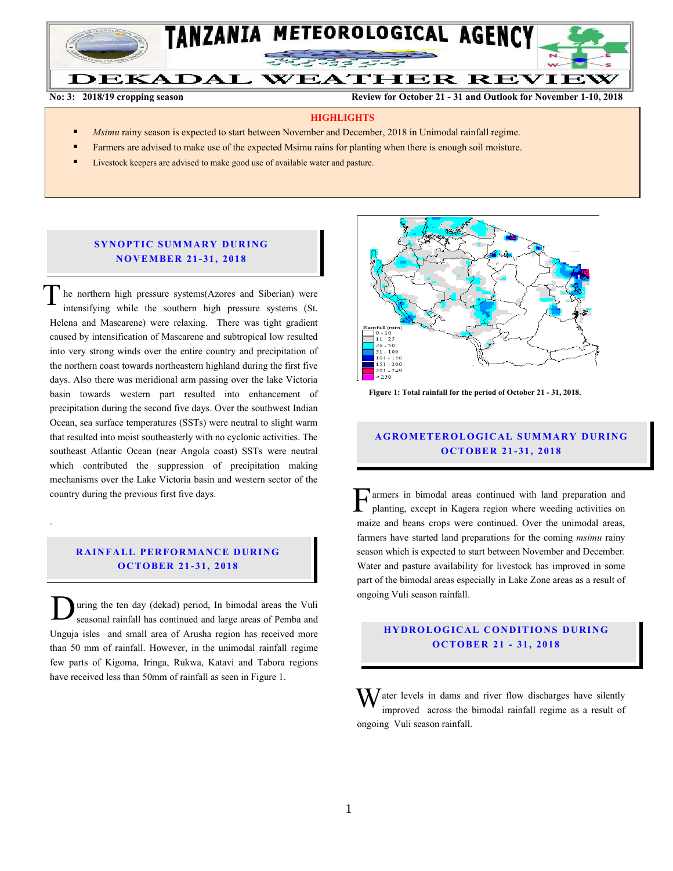

**No: 3: 2018/19 cropping season Review for October 21 - 31 and Outlook for November 1-10, 2018**

#### **HIGHLIGHTS**

- *Msimu* rainy season is expected to start between November and December, 2018 in Unimodal rainfall regime.
- Farmers are advised to make use of the expected Msimu rains for planting when there is enough soil moisture.
- Livestock keepers are advised to make good use of available water and pasture.

## **SYNOPTIC SUMMARY DURING N O V EMBER 21- 31, 201 8**

he northern high pressure systems(Azores and Siberian) were intensifying while the southern high pressure systems (St. Helena and Mascarene) were relaxing. There was tight gradient caused by intensification of Mascarene and subtropical low resulted into very strong winds over the entire country and precipitation of the northern coast towards northeastern highland during the first five days. Also there was meridional arm passing over the lake Victoria basin towards western part resulted into enhancement of precipitation during the second five days. Over the southwest Indian Ocean, sea surface temperatures (SSTs) were neutral to slight warm that resulted into moist southeasterly with no cyclonic activities. The southeast Atlantic Ocean (near Angola coast) SSTs were neutral which contributed the suppression of precipitation making mechanisms over the Lake Victoria basin and western sector of the country during the previous first five days. T

#### **RAINFALL PERFORMANCE DURING O C TO BER 21- 31, 2018**

.

uring the ten day (dekad) period, In bimodal areas the Vuli seasonal rainfall has continued and large areas of Pemba and Unguja isles and small area of Arusha region has received more than 50 mm of rainfall. However, in the unimodal rainfall regime few parts of Kigoma, Iringa, Rukwa, Katavi and Tabora regions have received less than 50mm of rainfall as seen in Figure 1. D



 **Figure 1: Total rainfall for the period of October 21 - 31, 2018.**

# **A G RO METER O LO G IC AL SU MMAR Y DU R IN G O C TO BER 21- 31, 2018**

armers in bimodal areas continued with land preparation and planting, except in Kagera region where weeding activities on maize and beans crops were continued. Over the unimodal areas, farmers have started land preparations for the coming *msimu* rainy season which is expected to start between November and December. Water and pasture availability for livestock has improved in some part of the bimodal areas especially in Lake Zone areas as a result of ongoing Vuli season rainfall.  $\mathbf{F}^{\text{ar}}_{\text{pl}}$ 

# **H Y DR O LOG IC A L C ON DITIO N S DU RING O C TO BER 21 - 31, 2018**

 $\mathbf{W}$  ater levels in dams and river flow discharges have silently improved across the bimodal rainfall regime as a result of improved across the bimodal rainfall regime as a result of ongoing Vuli season rainfall.